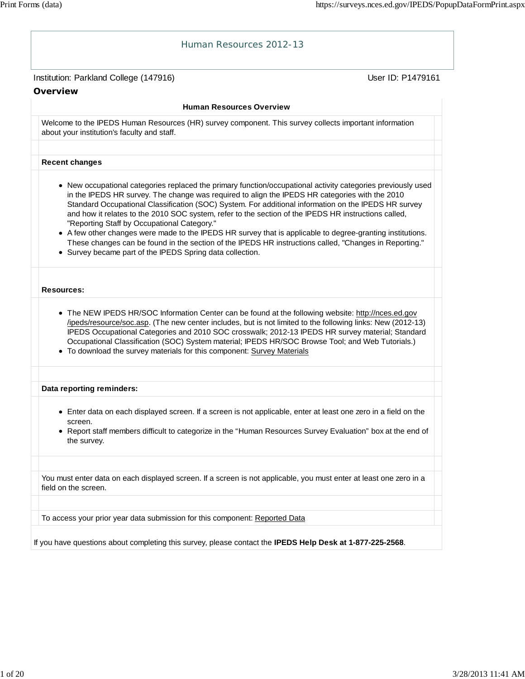## Institution: Parkland College (147916) November 2012 12: Physics User ID: P1479161 Human Resources 2012-13 **Overview Human Resources Overview** Welcome to the IPEDS Human Resources (HR) survey component. This survey collects important information about your institution's faculty and staff. **Recent changes** New occupational categories replaced the primary function/occupational activity categories previously used in the IPEDS HR survey. The change was required to align the IPEDS HR categories with the 2010 Standard Occupational Classification (SOC) System. For additional information on the IPEDS HR survey and how it relates to the 2010 SOC system, refer to the section of the IPEDS HR instructions called, "Reporting Staff by Occupational Category." A few other changes were made to the IPEDS HR survey that is applicable to degree-granting institutions. These changes can be found in the section of the IPEDS HR instructions called, "Changes in Reporting." Survey became part of the IPEDS Spring data collection. **Resources:** • The NEW IPEDS HR/SOC Information Center can be found at the following website: http://nces.ed.gov /ipeds/resource/soc.asp. (The new center includes, but is not limited to the following links: New (2012-13) IPEDS Occupational Categories and 2010 SOC crosswalk; 2012-13 IPEDS HR survey material; Standard Occupational Classification (SOC) System material; IPEDS HR/SOC Browse Tool; and Web Tutorials.) To download the survey materials for this component: Survey Materials **Data reporting reminders:** Enter data on each displayed screen. If a screen is not applicable, enter at least one zero in a field on the screen. Report staff members difficult to categorize in the "Human Resources Survey Evaluation" box at the end of the survey. You must enter data on each displayed screen. If a screen is not applicable, you must enter at least one zero in a field on the screen. To access your prior year data submission for this component: Reported Data If you have questions about completing this survey, please contact the **IPEDS Help Desk at 1-877-225-2568**.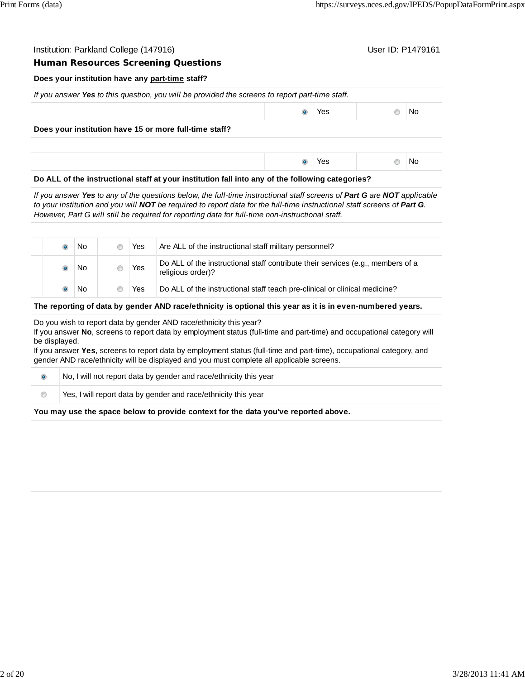|                | Institution: Parkland College (147916) |                |     |                                                                                                                                                                                                                                                                                                                                                         | User ID: P1479161 |     |                |    |  |  |
|----------------|----------------------------------------|----------------|-----|---------------------------------------------------------------------------------------------------------------------------------------------------------------------------------------------------------------------------------------------------------------------------------------------------------------------------------------------------------|-------------------|-----|----------------|----|--|--|
|                |                                        |                |     | <b>Human Resources Screening Questions</b>                                                                                                                                                                                                                                                                                                              |                   |     |                |    |  |  |
|                |                                        |                |     | Does your institution have any part-time staff?                                                                                                                                                                                                                                                                                                         |                   |     |                |    |  |  |
|                |                                        |                |     | If you answer Yes to this question, you will be provided the screens to report part-time staff.                                                                                                                                                                                                                                                         |                   |     |                |    |  |  |
|                |                                        |                |     |                                                                                                                                                                                                                                                                                                                                                         | $\bullet$         | Yes | $^{\circ}$     | No |  |  |
|                |                                        |                |     | Does your institution have 15 or more full-time staff?                                                                                                                                                                                                                                                                                                  |                   |     |                |    |  |  |
|                |                                        |                |     |                                                                                                                                                                                                                                                                                                                                                         |                   |     |                |    |  |  |
|                |                                        |                |     |                                                                                                                                                                                                                                                                                                                                                         | $\bullet$         | Yes | $\circledcirc$ | No |  |  |
|                |                                        |                |     | Do ALL of the instructional staff at your institution fall into any of the following categories?                                                                                                                                                                                                                                                        |                   |     |                |    |  |  |
|                |                                        |                |     | If you answer Yes to any of the questions below, the full-time instructional staff screens of Part G are NOT applicable<br>to your institution and you will NOT be required to report data for the full-time instructional staff screens of Part G.<br>However, Part G will still be required for reporting data for full-time non-instructional staff. |                   |     |                |    |  |  |
|                | $\bullet$<br>No                        | $\circledcirc$ | Yes | Are ALL of the instructional staff military personnel?                                                                                                                                                                                                                                                                                                  |                   |     |                |    |  |  |
|                | No<br>$\bullet$                        | $\circledcirc$ | Yes | Do ALL of the instructional staff contribute their services (e.g., members of a<br>religious order)?                                                                                                                                                                                                                                                    |                   |     |                |    |  |  |
|                | No<br>$\bullet$                        | 0              | Yes | Do ALL of the instructional staff teach pre-clinical or clinical medicine?                                                                                                                                                                                                                                                                              |                   |     |                |    |  |  |
|                |                                        |                |     | The reporting of data by gender AND race/ethnicity is optional this year as it is in even-numbered years.                                                                                                                                                                                                                                               |                   |     |                |    |  |  |
|                |                                        |                |     | Do you wish to report data by gender AND race/ethnicity this year?<br>If you answer No, screens to report data by employment status (full-time and part-time) and occupational category will                                                                                                                                                            |                   |     |                |    |  |  |
| be displayed.  |                                        |                |     | If you answer Yes, screens to report data by employment status (full-time and part-time), occupational category, and<br>gender AND race/ethnicity will be displayed and you must complete all applicable screens.                                                                                                                                       |                   |     |                |    |  |  |
| $\bullet$      |                                        |                |     | No, I will not report data by gender and race/ethnicity this year                                                                                                                                                                                                                                                                                       |                   |     |                |    |  |  |
| $\circledcirc$ |                                        |                |     | Yes, I will report data by gender and race/ethnicity this year                                                                                                                                                                                                                                                                                          |                   |     |                |    |  |  |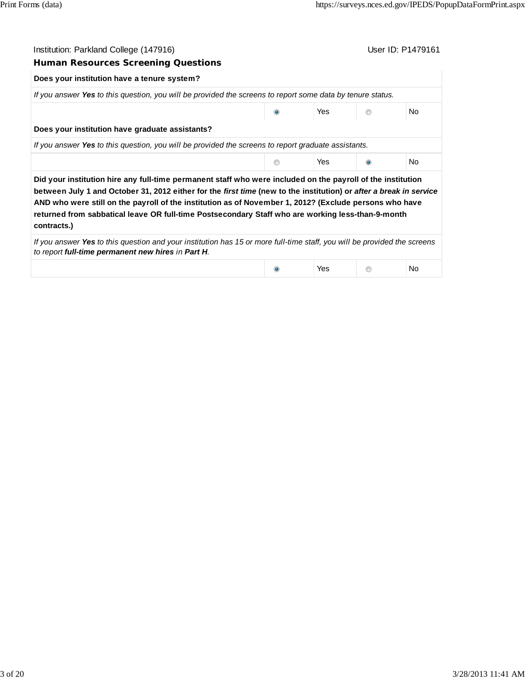| Institution: Parkland College (147916)                                                                                                                                                                                                                                                                                                                                                                                                                          |   |            | User ID: P1479161 |
|-----------------------------------------------------------------------------------------------------------------------------------------------------------------------------------------------------------------------------------------------------------------------------------------------------------------------------------------------------------------------------------------------------------------------------------------------------------------|---|------------|-------------------|
| <b>Human Resources Screening Questions</b>                                                                                                                                                                                                                                                                                                                                                                                                                      |   |            |                   |
| Does your institution have a tenure system?                                                                                                                                                                                                                                                                                                                                                                                                                     |   |            |                   |
| If you answer Yes to this question, you will be provided the screens to report some data by tenure status.                                                                                                                                                                                                                                                                                                                                                      |   |            |                   |
|                                                                                                                                                                                                                                                                                                                                                                                                                                                                 |   | Yes        | No.               |
| Does your institution have graduate assistants?                                                                                                                                                                                                                                                                                                                                                                                                                 |   |            |                   |
| If you answer Yes to this question, you will be provided the screens to report graduate assistants.                                                                                                                                                                                                                                                                                                                                                             |   |            |                   |
|                                                                                                                                                                                                                                                                                                                                                                                                                                                                 | ⋒ | Yes        | N <sub>o</sub>    |
| Did your institution hire any full-time permanent staff who were included on the payroll of the institution<br>between July 1 and October 31, 2012 either for the first time (new to the institution) or after a break in service<br>AND who were still on the payroll of the institution as of November 1, 2012? (Exclude persons who have<br>returned from sabbatical leave OR full-time Postsecondary Staff who are working less-than-9-month<br>contracts.) |   |            |                   |
| If you answer Yes to this question and your institution has 15 or more full-time staff, you will be provided the screens<br>to report full-time permanent new hires in Part H.                                                                                                                                                                                                                                                                                  |   |            |                   |
|                                                                                                                                                                                                                                                                                                                                                                                                                                                                 |   | <b>Yes</b> | No.               |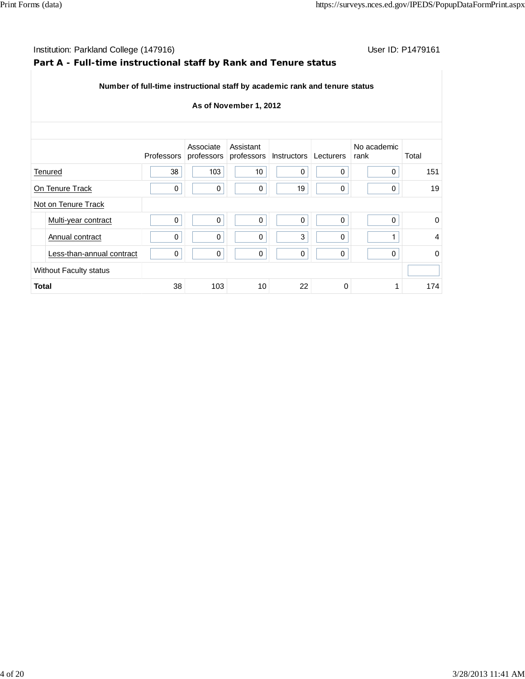### Institution: Parkland College (147916) **Institution: Parkland College (147916)** Conservation: P1479161

### **Part A - Full-time instructional staff by Rank and Tenure status**

| Number of full-time instructional staff by academic rank and tenure status |
|----------------------------------------------------------------------------|
|----------------------------------------------------------------------------|

|              |                               | Professors | Associate    | Assistant<br>professors professors Instructors Lecturers |    |             | No academic<br>rank | Total          |
|--------------|-------------------------------|------------|--------------|----------------------------------------------------------|----|-------------|---------------------|----------------|
|              | Tenured                       | 38         | 103          | 10                                                       | 0  | 0           | 0                   | 151            |
|              | On Tenure Track               | 0          | $\pmb{0}$    | 0                                                        | 19 | 0           | 0                   | 19             |
|              | Not on Tenure Track           |            |              |                                                          |    |             |                     |                |
|              | Multi-year contract           | 0          | $\mathbf{0}$ | $\mathbf{0}$                                             | 0  | 0           | 0                   | $\mathbf 0$    |
|              | Annual contract               | 0          | 0            | 0                                                        | 3  | $\mathbf 0$ |                     | $\overline{4}$ |
|              | Less-than-annual contract     | 0          | 0            | 0                                                        | 0  | 0           | 0                   | $\mathbf 0$    |
|              | <b>Without Faculty status</b> |            |              |                                                          |    |             |                     |                |
| <b>Total</b> |                               | 38         | 103          | 10                                                       | 22 | 0           |                     | 174            |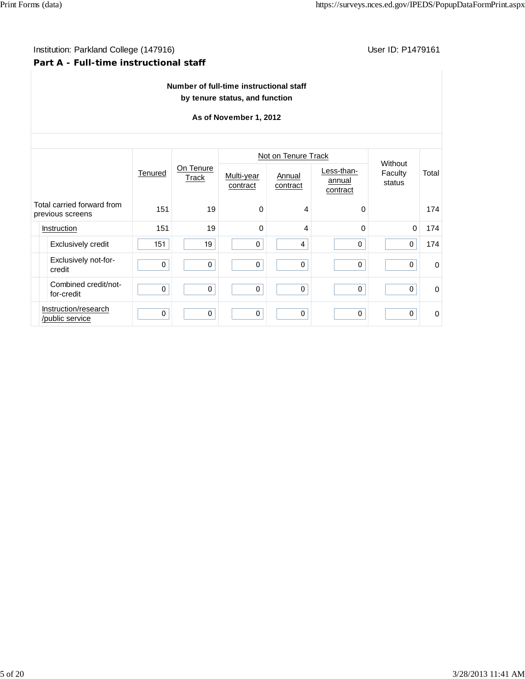### Institution: Parkland College (147916) **Institution: Parkland College (147916)** Conservation: P1479161 **Part A - Full-time instructional staff**

### **Number of full-time instructional staff by tenure status, and function**

|                                                |                                         |         |                    |                        | Not on Tenure Track |                                  | Without           |             |
|------------------------------------------------|-----------------------------------------|---------|--------------------|------------------------|---------------------|----------------------------------|-------------------|-------------|
|                                                |                                         | Tenured | On Tenure<br>Track | Multi-year<br>contract | Annual<br>contract  | Less-than-<br>annual<br>contract | Faculty<br>status | Total       |
| Total carried forward from<br>previous screens |                                         | 151     | 19                 | $\Omega$               | 4                   | 0                                |                   | 174         |
|                                                | Instruction                             | 151     | 19                 | $\Omega$               | 4                   | $\Omega$                         | $\Omega$          | 174         |
|                                                | <b>Exclusively credit</b>               | 151     | 19                 | $\mathbf{0}$           | 4                   | 0                                | $\mathbf{0}$      | 174         |
|                                                | Exclusively not-for-<br>credit          | 0       | 0                  | $\mathbf{0}$           | $\mathbf{0}$        | $\mathbf 0$                      | $\Omega$          | $\Omega$    |
|                                                | Combined credit/not-<br>for-credit      | 0       | 0                  | $\mathbf 0$            | $\mathbf 0$         | 0                                | $\mathbf 0$       | $\Omega$    |
|                                                | Instruction/research<br>/public service | 0       | $\mathbf 0$        | $\mathbf{0}$           | $\mathbf{0}$        | $\mathbf 0$                      | $\mathbf{0}$      | $\mathbf 0$ |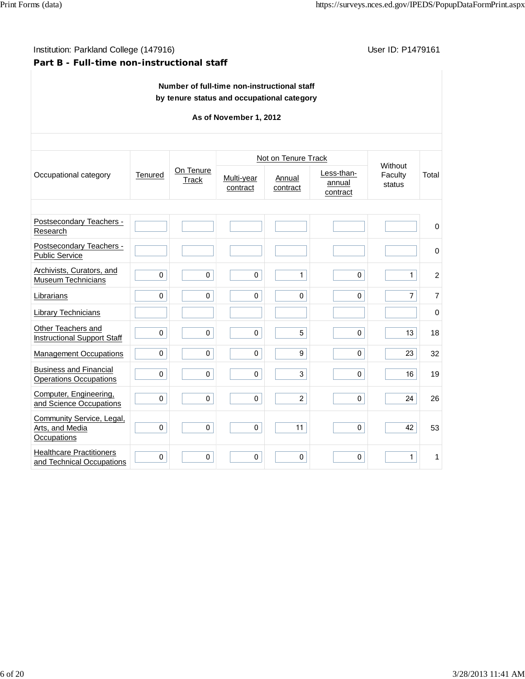## Institution: Parkland College (147916) **Institution: Parkland College (1479161**

### **Part B - Full-time non-instructional staff**

### **Number of full-time non-instructional staff by tenure status and occupational category**

|                                                                |              |                    |                        | Not on Tenure Track |                                  | Without           |                |
|----------------------------------------------------------------|--------------|--------------------|------------------------|---------------------|----------------------------------|-------------------|----------------|
| Occupational category                                          | Tenured      | On Tenure<br>Track | Multi-year<br>contract | Annual<br>contract  | Less-than-<br>annual<br>contract | Faculty<br>status | Total          |
|                                                                |              |                    |                        |                     |                                  |                   |                |
| Postsecondary Teachers -<br>Research                           |              |                    |                        |                     |                                  |                   | $\mathbf 0$    |
| Postsecondary Teachers -<br><b>Public Service</b>              |              |                    |                        |                     |                                  |                   | 0              |
| Archivists, Curators, and<br><b>Museum Technicians</b>         | $\mathbf{0}$ | $\Omega$           | 0                      | $\mathbf{1}$        | $\mathbf{0}$                     | $\mathbf{1}$      | $\overline{c}$ |
| Librarians                                                     | 0            | $\mathbf 0$        | $\mathbf 0$            | $\mathbf 0$         | 0                                | $\overline{7}$    | $\overline{7}$ |
| Library Technicians                                            |              |                    |                        |                     |                                  |                   | 0              |
| Other Teachers and<br><b>Instructional Support Staff</b>       | $\mathbf 0$  | 0                  | 0                      | 5                   | 0                                | 13                | 18             |
| <b>Management Occupations</b>                                  | $\mathbf 0$  | $\mathbf 0$        | $\mathbf 0$            | 9                   | $\mathbf{0}$                     | 23                | 32             |
| <b>Business and Financial</b><br><b>Operations Occupations</b> | $\mathbf{0}$ | $\mathbf 0$        | $\mathbf{0}$           | 3                   | $\mathbf{0}$                     | 16                | 19             |
| Computer, Engineering,<br>and Science Occupations              | $\mathbf{0}$ | $\mathbf 0$        | $\mathbf 0$            | $\overline{2}$      | $\mathbf 0$                      | 24                | 26             |
| Community Service, Legal,<br>Arts, and Media<br>Occupations    | 0            | 0                  | $\pmb{0}$              | 11                  | 0                                | 42                | 53             |
| <b>Healthcare Practitioners</b><br>and Technical Occupations   | $\pmb{0}$    | $\pmb{0}$          | $\pmb{0}$              | $\pmb{0}$           | 0                                | $\mathbf{1}$      | 1              |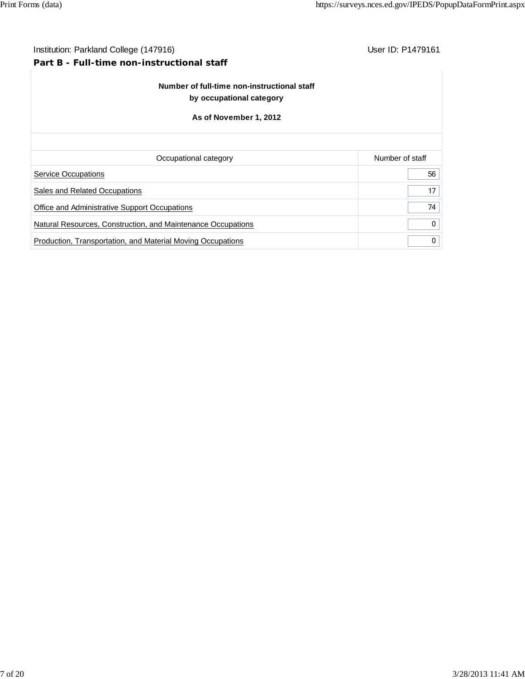# Institution: Parkland College (147916) **Institution: Parkland College (147916**) **Part B - Full-time non-instructional staff Number of full-time non-instructional staff by occupational category As of November 1, 2012** Occupational category **Number of staff** Number of staff Service Occupations **56** Sales and Related Occupations 17 Office and Administrative Support Occupations **74** Natural Resources, Construction, and Maintenance Occupations 0 Production, Transportation, and Material Moving Occupations **0.000 Contains 1.000 Contains 1.000 Contains 1.000**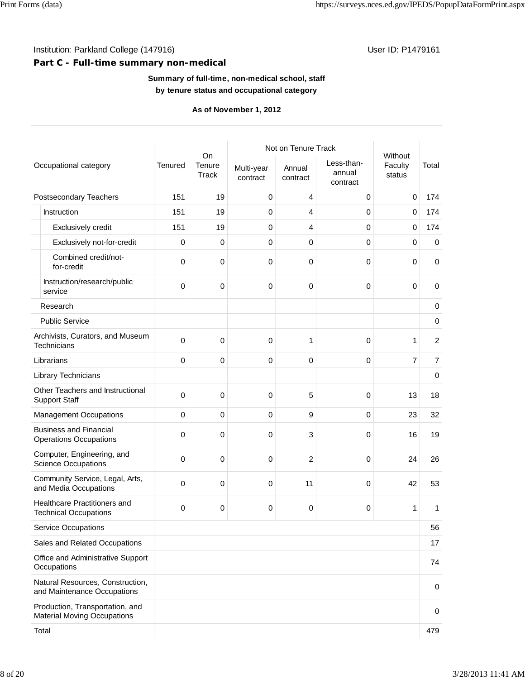### Institution: Parkland College (147916) **Institution: Parkland College (147916)** Conservation: P1479161

### **Part C - Full-time summary non-medical**

### **Summary of full-time, non-medical school, staff by tenure status and occupational category**

|            |                                                                       |             | On              | Not on Tenure Track    |                    |                                  | Without           |                |
|------------|-----------------------------------------------------------------------|-------------|-----------------|------------------------|--------------------|----------------------------------|-------------------|----------------|
|            | Occupational category                                                 | Tenured     | Tenure<br>Track | Multi-year<br>contract | Annual<br>contract | Less-than-<br>annual<br>contract | Faculty<br>status | Total          |
|            | Postsecondary Teachers                                                | 151         | 19              | 0                      | 4                  | 0                                | $\mathbf 0$       | 174            |
|            | Instruction                                                           | 151         | 19              | 0                      | 4                  | 0                                | $\mathbf 0$       | 174            |
|            | Exclusively credit                                                    | 151         | 19              | $\mathbf 0$            | 4                  | 0                                | $\mathbf 0$       | 174            |
|            | Exclusively not-for-credit                                            | 0           | 0               | $\mathbf 0$            | 0                  | 0                                | $\mathbf 0$       | $\mathbf 0$    |
|            | Combined credit/not-<br>for-credit                                    | 0           | $\mathbf 0$     | 0                      | 0                  | 0                                | 0                 | 0              |
|            | Instruction/research/public<br>service                                | 0           | 0               | 0                      | 0                  | 0                                | $\mathbf 0$       | $\mathbf 0$    |
|            | Research                                                              |             |                 |                        |                    |                                  |                   | 0              |
|            | <b>Public Service</b>                                                 |             |                 |                        |                    |                                  |                   | $\mathbf 0$    |
|            | Archivists, Curators, and Museum<br>Technicians                       | $\Omega$    | 0               | 0                      | 1                  | 0                                | 1                 | $\overline{c}$ |
| Librarians |                                                                       | 0           | 0               | 0                      | 0                  | 0                                | $\overline{7}$    | $\overline{7}$ |
|            | Library Technicians                                                   |             |                 |                        |                    |                                  |                   | 0              |
|            | Other Teachers and Instructional<br><b>Support Staff</b>              | 0           | 0               | 0                      | 5                  | 0                                | 13                | 18             |
|            | <b>Management Occupations</b>                                         | $\mathbf 0$ | $\pmb{0}$       | $\mathbf 0$            | 9                  | 0                                | 23                | 32             |
|            | <b>Business and Financial</b><br><b>Operations Occupations</b>        | 0           | 0               | 0                      | 3                  | 0                                | 16                | 19             |
|            | Computer, Engineering, and<br><b>Science Occupations</b>              | 0           | 0               | 0                      | $\overline{c}$     | 0                                | 24                | 26             |
|            | Community Service, Legal, Arts,<br>and Media Occupations              | 0           | 0               | 0                      | 11                 | 0                                | 42                | 53             |
|            | Healthcare Practitioners and<br><b>Technical Occupations</b>          | 0           | 0               | 0                      | 0                  | 0                                | 1                 | 1              |
|            | <b>Service Occupations</b>                                            |             |                 |                        |                    |                                  |                   | 56             |
|            | Sales and Related Occupations                                         |             |                 |                        |                    |                                  |                   | 17             |
|            | Office and Administrative Support<br>Occupations                      |             |                 |                        |                    |                                  |                   | 74             |
|            | Natural Resources, Construction,<br>and Maintenance Occupations       |             |                 |                        |                    |                                  |                   | 0              |
|            | Production, Transportation, and<br><b>Material Moving Occupations</b> |             |                 |                        |                    |                                  |                   | 0              |
| Total      |                                                                       |             |                 |                        |                    |                                  |                   | 479            |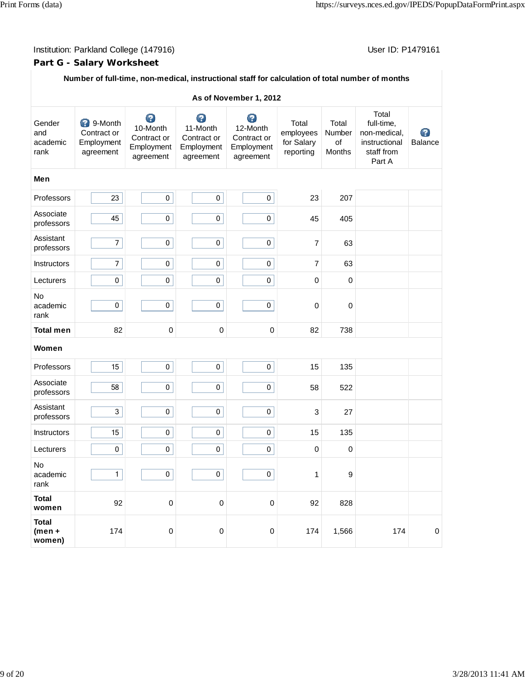### Institution: Parkland College (147916) Contract College (147916)

### **Part G - Salary Worksheet**

### **Number of full-time, non-medical, instructional staff for calculation of total number of months**

|                                    | As of November 1, 2012<br>Total                            |                                                         |                                                         |                                                         |                                               |                                 |                                                                     |              |  |  |  |  |
|------------------------------------|------------------------------------------------------------|---------------------------------------------------------|---------------------------------------------------------|---------------------------------------------------------|-----------------------------------------------|---------------------------------|---------------------------------------------------------------------|--------------|--|--|--|--|
| Gender<br>and<br>academic<br>rank  | <b>3</b> 9-Month<br>Contract or<br>Employment<br>agreement | 0<br>10-Month<br>Contract or<br>Employment<br>agreement | 0<br>11-Month<br>Contract or<br>Employment<br>agreement | 0<br>12-Month<br>Contract or<br>Employment<br>agreement | Total<br>employees<br>for Salary<br>reporting | Total<br>Number<br>of<br>Months | full-time,<br>non-medical,<br>instructional<br>staff from<br>Part A | Ø<br>Balance |  |  |  |  |
| Men                                |                                                            |                                                         |                                                         |                                                         |                                               |                                 |                                                                     |              |  |  |  |  |
| Professors                         | 23                                                         | $\pmb{0}$                                               | 0                                                       | $\pmb{0}$                                               | 23                                            | 207                             |                                                                     |              |  |  |  |  |
| Associate<br>professors            | 45                                                         | 0                                                       | 0                                                       | $\pmb{0}$                                               | 45                                            | 405                             |                                                                     |              |  |  |  |  |
| Assistant<br>professors            | $\overline{7}$                                             | 0                                                       | 0                                                       | $\pmb{0}$                                               | $\overline{7}$                                | 63                              |                                                                     |              |  |  |  |  |
| Instructors                        | $\overline{7}$                                             | $\pmb{0}$                                               | 0                                                       | $\pmb{0}$                                               | $\overline{7}$                                | 63                              |                                                                     |              |  |  |  |  |
| Lecturers                          | 0                                                          | $\pmb{0}$                                               | 0                                                       | 0                                                       | 0                                             | 0                               |                                                                     |              |  |  |  |  |
| No<br>academic<br>rank             | 0                                                          | $\pmb{0}$                                               | 0                                                       | $\pmb{0}$                                               | $\pmb{0}$                                     | 0                               |                                                                     |              |  |  |  |  |
| <b>Total men</b>                   | 82                                                         | $\pmb{0}$                                               | $\mathbf 0$                                             | $\mathbf 0$                                             | 82                                            | 738                             |                                                                     |              |  |  |  |  |
| Women                              |                                                            |                                                         |                                                         |                                                         |                                               |                                 |                                                                     |              |  |  |  |  |
| Professors                         | 15                                                         | $\pmb{0}$                                               | 0                                                       | $\pmb{0}$                                               | 15                                            | 135                             |                                                                     |              |  |  |  |  |
| Associate<br>professors            | 58                                                         | $\pmb{0}$                                               | 0                                                       | $\pmb{0}$                                               | 58                                            | 522                             |                                                                     |              |  |  |  |  |
| Assistant<br>professors            | 3                                                          | $\pmb{0}$                                               | 0                                                       | $\pmb{0}$                                               | $\ensuremath{\mathsf{3}}$                     | 27                              |                                                                     |              |  |  |  |  |
| Instructors                        | 15                                                         | $\pmb{0}$                                               | 0                                                       | $\mathbf 0$                                             | 15                                            | 135                             |                                                                     |              |  |  |  |  |
| Lecturers                          | 0                                                          | 0                                                       | 0                                                       | $\pmb{0}$                                               | $\pmb{0}$                                     | 0                               |                                                                     |              |  |  |  |  |
| No<br>academic<br>rank             | $1\vert$                                                   | 0                                                       | $\pmb{0}$                                               | 0                                                       | 1                                             | 9                               |                                                                     |              |  |  |  |  |
| <b>Total</b><br>women              | 92                                                         | $\mathbf 0$                                             | $\pmb{0}$                                               | $\mathbf 0$                                             | 92                                            | 828                             |                                                                     |              |  |  |  |  |
| <b>Total</b><br>$(men +$<br>women) | 174                                                        | $\pmb{0}$                                               | $\pmb{0}$                                               | $\pmb{0}$                                               | 174                                           | 1,566                           | 174                                                                 | $\pmb{0}$    |  |  |  |  |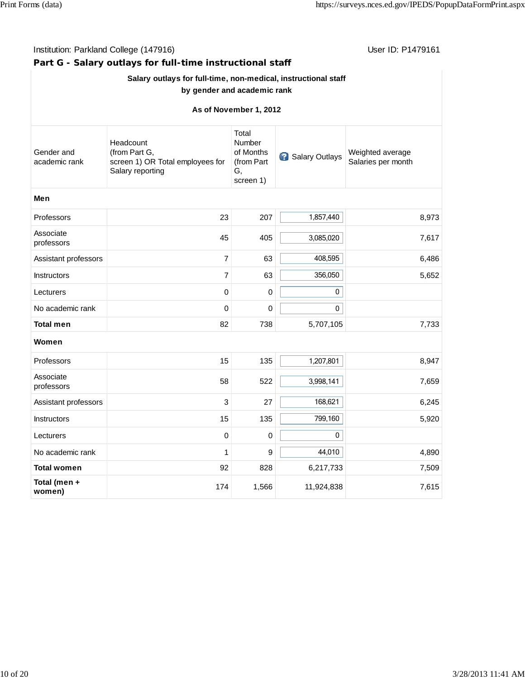| Institution: Parkland College (147916) | User ID: P1479161                                                                  |                                                               |                |                                        |
|----------------------------------------|------------------------------------------------------------------------------------|---------------------------------------------------------------|----------------|----------------------------------------|
|                                        | Part G - Salary outlays for full-time instructional staff                          |                                                               |                |                                        |
|                                        | Salary outlays for full-time, non-medical, instructional staff                     |                                                               |                |                                        |
|                                        | by gender and academic rank                                                        |                                                               |                |                                        |
|                                        |                                                                                    | As of November 1, 2012                                        |                |                                        |
| Gender and<br>academic rank            | Headcount<br>(from Part G,<br>screen 1) OR Total employees for<br>Salary reporting | Total<br>Number<br>of Months<br>(from Part<br>G,<br>screen 1) | Salary Outlays | Weighted average<br>Salaries per month |
| Men                                    |                                                                                    |                                                               |                |                                        |
| Professors                             | 23                                                                                 | 207                                                           | 1,857,440      | 8,973                                  |
| Associate<br>professors                | 45                                                                                 | 405                                                           | 3,085,020      | 7,617                                  |
| Assistant professors                   | 7                                                                                  | 63                                                            | 408,595        | 6,486                                  |
| Instructors                            | 7                                                                                  | 63                                                            | 356,050        | 5,652                                  |
| Lecturers                              | 0                                                                                  | 0                                                             | 0              |                                        |
| No academic rank                       | 0                                                                                  | 0                                                             | 0              |                                        |
| <b>Total men</b>                       | 82                                                                                 | 738                                                           | 5,707,105      | 7,733                                  |
| Women                                  |                                                                                    |                                                               |                |                                        |
| Professors                             | 15                                                                                 | 135                                                           | 1,207,801      | 8,947                                  |
| Associate<br>professors                | 58                                                                                 | 522                                                           | 3,998,141      | 7,659                                  |
| Assistant professors                   | 3                                                                                  | 27                                                            | 168,621        | 6,245                                  |
| <b>Instructors</b>                     | 15                                                                                 | 135                                                           | 799,160        | 5,920                                  |
| Lecturers                              | 0                                                                                  | 0                                                             | 0              |                                        |
| No academic rank                       | 1                                                                                  | 9                                                             | 44,010         | 4,890                                  |
| <b>Total women</b>                     | 92                                                                                 | 828                                                           | 6,217,733      | 7,509                                  |
| Total (men +<br>women)                 | 174                                                                                | 1,566                                                         | 11,924,838     | 7,615                                  |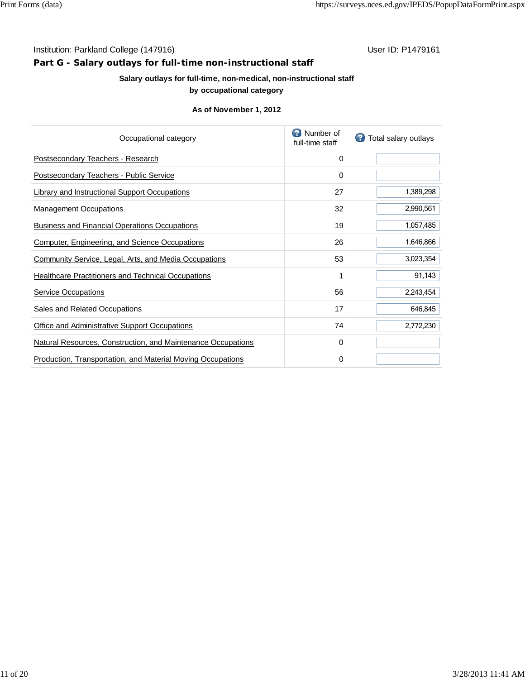#### Institution: Parkland College (147916) **Institution: Parkland College (147916**)

**Part G - Salary outlays for full-time non-instructional staff**

### **Salary outlays for full-time, non-medical, non-instructional staff**

### **by occupational category**

| Occupational category                                        | Number of<br>full-time staff | Total salary outlays |
|--------------------------------------------------------------|------------------------------|----------------------|
| Postsecondary Teachers - Research                            | 0                            |                      |
| Postsecondary Teachers - Public Service                      | 0                            |                      |
| Library and Instructional Support Occupations                | 27                           | 1,389,298            |
| <b>Management Occupations</b>                                | 32                           | 2,990,561            |
| <b>Business and Financial Operations Occupations</b>         | 19                           | 1,057,485            |
| <b>Computer, Engineering, and Science Occupations</b>        | 26                           | 1,646,866            |
| Community Service, Legal, Arts, and Media Occupations        | 53                           | 3,023,354            |
| <b>Healthcare Practitioners and Technical Occupations</b>    | 1                            | 91,143               |
| <b>Service Occupations</b>                                   | 56                           | 2,243,454            |
| Sales and Related Occupations                                | 17                           | 646,845              |
| Office and Administrative Support Occupations                | 74                           | 2,772,230            |
| Natural Resources, Construction, and Maintenance Occupations | 0                            |                      |
| Production, Transportation, and Material Moving Occupations  | 0                            |                      |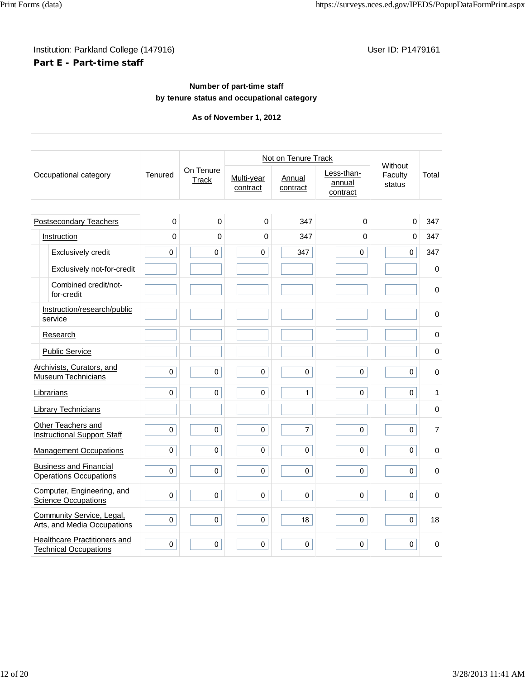### Institution: Parkland College (147916) **Institution: Parkland College (147916) Part E - Part-time staff**

### **Number of part-time staff by tenure status and occupational category**

|  |                                                                |             |                    |                        | Not on Tenure Track |                                  |                              |                |
|--|----------------------------------------------------------------|-------------|--------------------|------------------------|---------------------|----------------------------------|------------------------------|----------------|
|  | Occupational category                                          | Tenured     | On Tenure<br>Track | Multi-year<br>contract | Annual<br>contract  | Less-than-<br>annual<br>contract | Without<br>Faculty<br>status | Total          |
|  |                                                                |             |                    |                        |                     |                                  |                              |                |
|  | Postsecondary Teachers                                         | $\mathbf 0$ | 0                  | 0                      | 347                 | $\mathbf 0$                      | $\mathbf 0$                  | 347            |
|  | Instruction                                                    | 0           | 0                  | 0                      | 347                 | $\mathbf 0$                      | $\mathbf 0$                  | 347            |
|  | Exclusively credit                                             | $\mathbf 0$ | $\overline{0}$     | $\overline{0}$         | 347                 | $\overline{0}$                   | $\mathbf 0$                  | 347            |
|  | Exclusively not-for-credit                                     |             |                    |                        |                     |                                  |                              | $\pmb{0}$      |
|  | Combined credit/not-<br>for-credit                             |             |                    |                        |                     |                                  |                              | $\mathbf 0$    |
|  | Instruction/research/public<br>service                         |             |                    |                        |                     |                                  |                              | 0              |
|  | Research                                                       |             |                    |                        |                     |                                  |                              | $\pmb{0}$      |
|  | <b>Public Service</b>                                          |             |                    |                        |                     |                                  |                              | $\pmb{0}$      |
|  | Archivists, Curators, and<br>Museum Technicians                | $\pmb{0}$   | 0                  | $\pmb{0}$              | $\pmb{0}$           | 0                                | 0                            | $\mathbf 0$    |
|  | Librarians                                                     | 0           | 0                  | 0                      | $\mathbf{1}$        | $\mathbf 0$                      | 0                            | 1              |
|  | <b>Library Technicians</b>                                     |             |                    |                        |                     |                                  |                              | $\mathbf 0$    |
|  | Other Teachers and<br><b>Instructional Support Staff</b>       | 0           | 0                  | $\pmb{0}$              | $\overline{7}$      | $\pmb{0}$                        | $\pmb{0}$                    | $\overline{7}$ |
|  | <b>Management Occupations</b>                                  | 0           | 0                  | 0                      | 0                   | 0                                | 0                            | $\mathbf 0$    |
|  | <b>Business and Financial</b><br><b>Operations Occupations</b> | 0           | 0                  | $\pmb{0}$              | $\pmb{0}$           | $\mathbf 0$                      | 0                            | 0              |
|  | Computer, Engineering, and<br><b>Science Occupations</b>       | 0           | $\mathbf 0$        | $\pmb{0}$              | $\pmb{0}$           | 0                                | $\mathbf 0$                  | $\mathbf 0$    |
|  | Community Service, Legal,<br>Arts, and Media Occupations       | $\pmb{0}$   | 0                  | $\pmb{0}$              | 18                  | $\pmb{0}$                        | $\pmb{0}$                    | 18             |
|  | Healthcare Practitioners and<br><b>Technical Occupations</b>   | 0           | 0                  | 0                      | 0                   | 0                                | 0                            | $\mathbf 0$    |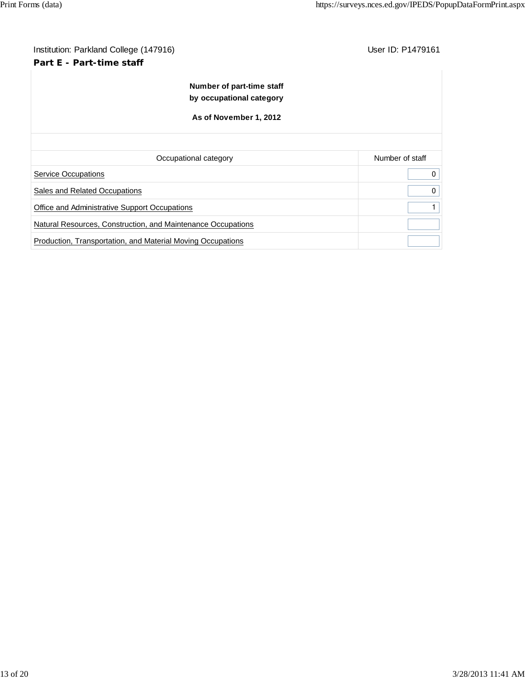# Institution: Parkland College (147916) **Institution: Parkland College (147916**) **Part E - Part-time staff Number of part-time staff by occupational category As of November 1, 2012** Occupational category **Number of staff** Number of staff Service Occupations 0 Sales and Related Occupations **0** 0 Office and Administrative Support Occupations **1** and 2001 1 and 2008 1 and 2008 1 and 2008 1 and 2008 1 and 2008 1 and 2008 1 and 2008 1 and 2008 1 and 2008 1 and 2008 1 and 2008 1 and 2008 1 and 2008 1 and 2008 1 and 200 Natural Resources, Construction, and Maintenance Occupations Production, Transportation, and Material Moving Occupations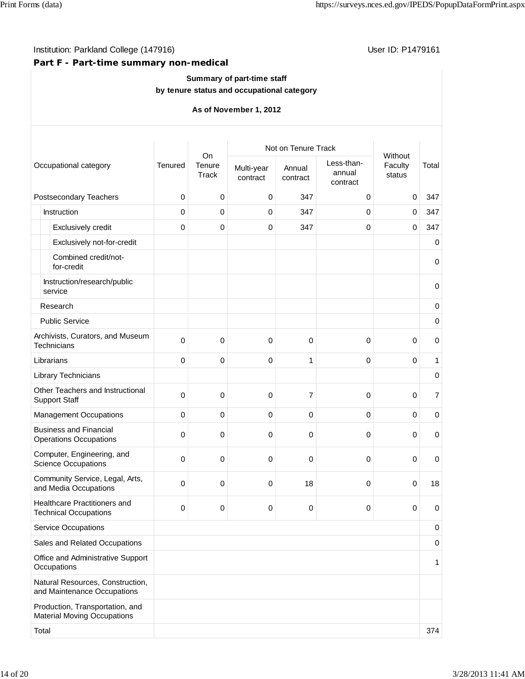### Institution: Parkland College (147916) Contract College (147916)

### **Part F - Part-time summary non-medical**

#### **Summary of part-time staff by tenure status and occupational category**

|       |                                                                       |                |                       | Not on Tenure Track    |                    |                                  |                              |                |
|-------|-----------------------------------------------------------------------|----------------|-----------------------|------------------------|--------------------|----------------------------------|------------------------------|----------------|
|       | Occupational category                                                 | <b>Tenured</b> | On<br>Tenure<br>Track | Multi-year<br>contract | Annual<br>contract | Less-than-<br>annual<br>contract | Without<br>Faculty<br>status | Total          |
|       | Postsecondary Teachers                                                | $\pmb{0}$      | 0                     | 0                      | 347                | 0                                | $\mathbf 0$                  | 347            |
|       | Instruction                                                           | 0              | 0                     | 0                      | 347                | 0                                | 0                            | 347            |
|       | Exclusively credit                                                    | $\mathbf 0$    | 0                     | 0                      | 347                | 0                                | 0                            | 347            |
|       | Exclusively not-for-credit                                            |                |                       |                        |                    |                                  |                              | $\mathbf 0$    |
|       | Combined credit/not-<br>for-credit                                    |                |                       |                        |                    |                                  |                              | $\mathbf 0$    |
|       | Instruction/research/public<br>service                                |                |                       |                        |                    |                                  |                              | $\mathbf 0$    |
|       | Research                                                              |                |                       |                        |                    |                                  |                              | $\pmb{0}$      |
|       | <b>Public Service</b>                                                 |                |                       |                        |                    |                                  |                              | $\mathbf 0$    |
|       | Archivists, Curators, and Museum<br>Technicians                       | $\Omega$       | $\mathbf 0$           | 0                      | $\mathbf 0$        | 0                                | 0                            | $\mathbf 0$    |
|       | Librarians                                                            | $\mathbf 0$    | $\mathbf 0$           | 0                      | 1                  | $\mathbf 0$                      | 0                            | 1              |
|       | Library Technicians                                                   |                |                       |                        |                    |                                  |                              | $\pmb{0}$      |
|       | Other Teachers and Instructional<br><b>Support Staff</b>              | $\mathbf 0$    | 0                     | 0                      | $\overline{7}$     | 0                                | 0                            | $\overline{7}$ |
|       | <b>Management Occupations</b>                                         | $\mathbf 0$    | $\mathbf 0$           | 0                      | $\mathbf 0$        | 0                                | $\mathbf 0$                  | $\mathbf 0$    |
|       | <b>Business and Financial</b><br><b>Operations Occupations</b>        | $\mathbf 0$    | $\pmb{0}$             | 0                      | $\pmb{0}$          | 0                                | 0                            | 0              |
|       | Computer, Engineering, and<br><b>Science Occupations</b>              | $\mathbf 0$    | 0                     | 0                      | 0                  | 0                                | 0                            | 0              |
|       | Community Service, Legal, Arts,<br>and Media Occupations              | $\mathbf 0$    | 0                     | 0                      | 18                 | 0                                | $\mathbf 0$                  | 18             |
|       | Healthcare Practitioners and<br><b>Technical Occupations</b>          | $\mathbf 0$    | 0                     | 0                      | 0                  | 0                                | 0                            | 0              |
|       | <b>Service Occupations</b>                                            |                |                       |                        |                    |                                  |                              | 0              |
|       | Sales and Related Occupations                                         |                |                       |                        |                    |                                  |                              | $\mathbf 0$    |
|       | Office and Administrative Support<br>Occupations                      |                |                       |                        |                    |                                  |                              | 1              |
|       | Natural Resources, Construction,<br>and Maintenance Occupations       |                |                       |                        |                    |                                  |                              |                |
|       | Production, Transportation, and<br><b>Material Moving Occupations</b> |                |                       |                        |                    |                                  |                              |                |
| Total |                                                                       |                |                       |                        |                    |                                  |                              | 374            |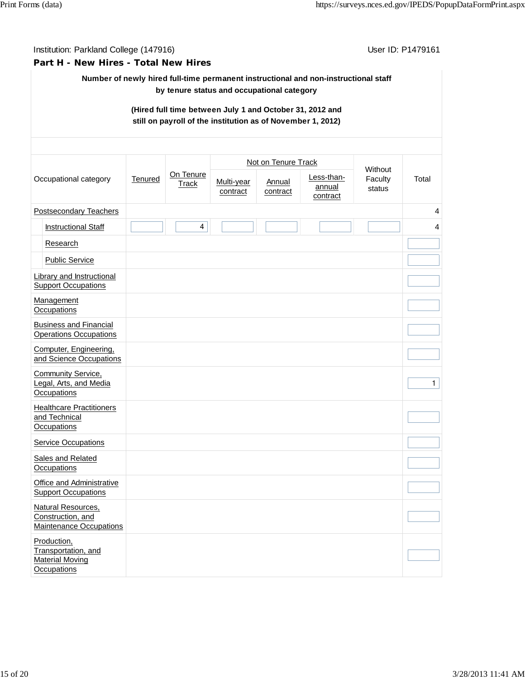Institution: Parkland College (147916) **Institution: Parkland College (147916**)

#### **Part H - New Hires - Total New Hires**

### **Number of newly hired full-time permanent instructional and non-instructional staff by tenure status and occupational category**

### **(Hired full time between July 1 and October 31, 2012 and still on payroll of the institution as of November 1, 2012)**

| Occupational category                                          |                                                                             | Tenured | On Tenure<br>Track | Not on Tenure Track    |                    |                                  |                              |              |
|----------------------------------------------------------------|-----------------------------------------------------------------------------|---------|--------------------|------------------------|--------------------|----------------------------------|------------------------------|--------------|
|                                                                |                                                                             |         |                    | Multi-year<br>contract | Annual<br>contract | Less-than-<br>annual<br>contract | Without<br>Faculty<br>status | Total        |
| Postsecondary Teachers                                         |                                                                             |         |                    |                        |                    |                                  |                              | 4            |
|                                                                | <b>Instructional Staff</b>                                                  |         | $\overline{4}$     |                        |                    |                                  |                              | 4            |
|                                                                | Research                                                                    |         |                    |                        |                    |                                  |                              |              |
|                                                                | <b>Public Service</b>                                                       |         |                    |                        |                    |                                  |                              |              |
| Library and Instructional<br><b>Support Occupations</b>        |                                                                             |         |                    |                        |                    |                                  |                              |              |
| Management<br>Occupations                                      |                                                                             |         |                    |                        |                    |                                  |                              |              |
| <b>Business and Financial</b><br><b>Operations Occupations</b> |                                                                             |         |                    |                        |                    |                                  |                              |              |
| Computer, Engineering,<br>and Science Occupations              |                                                                             |         |                    |                        |                    |                                  |                              |              |
| Community Service,<br>Legal, Arts, and Media<br>Occupations    |                                                                             |         |                    |                        |                    |                                  |                              | $\mathbf{1}$ |
|                                                                | <b>Healthcare Practitioners</b><br>and Technical<br>Occupations             |         |                    |                        |                    |                                  |                              |              |
|                                                                | <b>Service Occupations</b>                                                  |         |                    |                        |                    |                                  |                              |              |
|                                                                | Sales and Related<br>Occupations                                            |         |                    |                        |                    |                                  |                              |              |
|                                                                | Office and Administrative<br><b>Support Occupations</b>                     |         |                    |                        |                    |                                  |                              |              |
|                                                                | Natural Resources,<br>Construction, and<br><b>Maintenance Occupations</b>   |         |                    |                        |                    |                                  |                              |              |
|                                                                | Production,<br>Transportation, and<br><b>Material Moving</b><br>Occupations |         |                    |                        |                    |                                  |                              |              |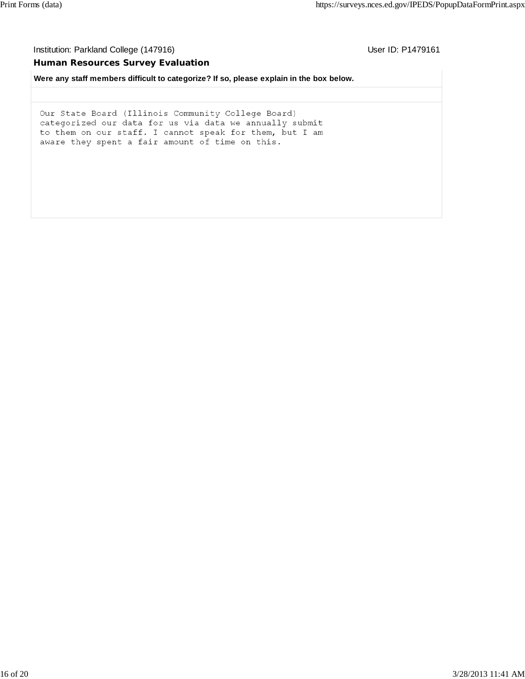Institution: Parkland College (147916) **Institution: Parkland College (147916**)

#### **Human Resources Survey Evaluation**

**Were any staff members difficult to categorize? If so, please explain in the box below.**

Our State Board (Illinois Community College Board) categorized our data for us via data we annually submit to them on our staff. I cannot speak for them, but I am aware they spent a fair amount of time on this.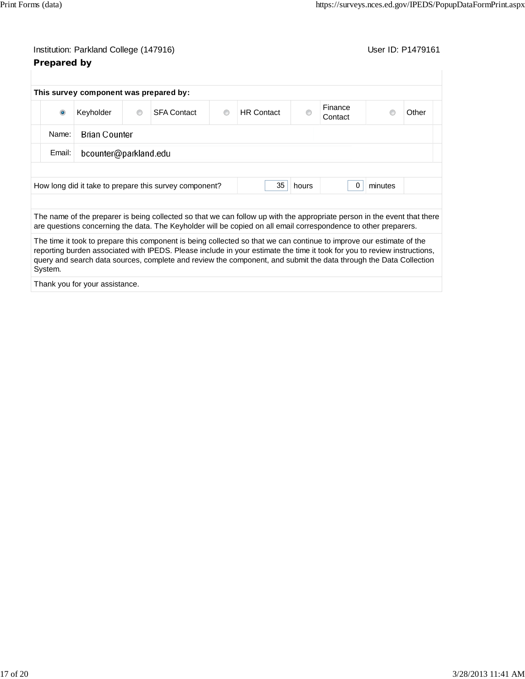### Institution: Parkland College (147916) **Institution: Parkland College (147916**) **Prepared by**

|                                                                                       | This survey component was prepared by: |         |                                                                                                                          |   |                   |   |                    |  |       |
|---------------------------------------------------------------------------------------|----------------------------------------|---------|--------------------------------------------------------------------------------------------------------------------------|---|-------------------|---|--------------------|--|-------|
| $\bullet$                                                                             | Keyholder                              | $\circ$ | <b>SFA Contact</b>                                                                                                       | ◉ | <b>HR</b> Contact | ⋒ | Finance<br>Contact |  | Other |
| <b>Brian Counter</b><br>Name:                                                         |                                        |         |                                                                                                                          |   |                   |   |                    |  |       |
| Email:                                                                                | bcounter@parkland.edu                  |         |                                                                                                                          |   |                   |   |                    |  |       |
|                                                                                       |                                        |         |                                                                                                                          |   |                   |   |                    |  |       |
| 35<br>minutes<br>How long did it take to prepare this survey component?<br>0<br>hours |                                        |         |                                                                                                                          |   |                   |   |                    |  |       |
|                                                                                       |                                        |         | The name of the preparer is being collected so that we can follow up with the appropriate person in the event that there |   |                   |   |                    |  |       |
|                                                                                       |                                        |         | are questions concerning the data. The Keyholder will be copied on all email correspondence to other preparers.          |   |                   |   |                    |  |       |

The time it took to prepare this component is being collected so that we can continue to improve our estimate of the reporting burden associated with IPEDS. Please include in your estimate the time it took for you to review instructions, query and search data sources, complete and review the component, and submit the data through the Data Collection System.

Thank you for your assistance.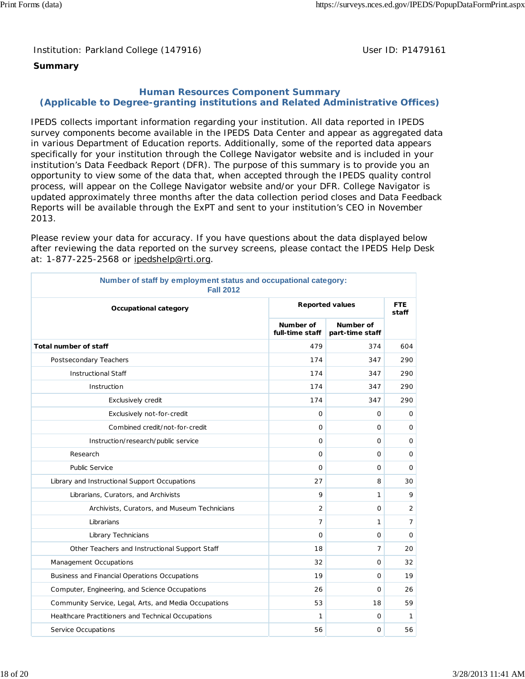Institution: Parkland College (147916) Noting the Muslim User ID: P1479161

### **Summary**

### **Human Resources Component Summary (Applicable to Degree-granting institutions and Related Administrative Offices)**

IPEDS collects important information regarding your institution. All data reported in IPEDS survey components become available in the IPEDS Data Center and appear as aggregated data in various Department of Education reports. Additionally, some of the reported data appears specifically for your institution through the College Navigator website and is included in your institution's Data Feedback Report (DFR). The purpose of this summary is to provide you an opportunity to view some of the data that, when accepted through the IPEDS quality control process, will appear on the College Navigator website and/or your DFR. College Navigator is updated approximately three months after the data collection period closes and Data Feedback Reports will be available through the ExPT and sent to your institution's CEO in November 2013.

Please review your data for accuracy. If you have questions about the data displayed below after reviewing the data reported on the survey screens, please contact the IPEDS Help Desk at: 1-877-225-2568 or ipedshelp@rti.org.

| Number of staff by employment status and occupational category:<br><b>Fall 2012</b> |                              |                              |                |  |  |  |  |
|-------------------------------------------------------------------------------------|------------------------------|------------------------------|----------------|--|--|--|--|
| Occupational category                                                               | <b>Reported values</b>       | <b>FTE</b><br>staff          |                |  |  |  |  |
|                                                                                     | Number of<br>full-time staff | Number of<br>part-time staff |                |  |  |  |  |
| <b>Total number of staff</b>                                                        | 479                          | 374                          | 604            |  |  |  |  |
| Postsecondary Teachers                                                              | 174                          | 347                          | 290            |  |  |  |  |
| <b>Instructional Staff</b>                                                          | 174                          | 347                          | 290            |  |  |  |  |
| Instruction                                                                         | 174                          | 347                          | 290            |  |  |  |  |
| Exclusively credit                                                                  | 174                          | 347                          | 290            |  |  |  |  |
| Exclusively not-for-credit                                                          | $\Omega$                     | $\mathbf 0$                  | 0              |  |  |  |  |
| Combined credit/not-for-credit                                                      | $\Omega$                     | $\mathbf{O}$                 | $\mathbf 0$    |  |  |  |  |
| Instruction/research/public service                                                 | $\mathbf 0$                  | $\mathbf 0$                  | 0              |  |  |  |  |
| Research                                                                            | $\Omega$                     | $\mathbf{O}$                 | 0              |  |  |  |  |
| <b>Public Service</b>                                                               | $\Omega$                     | $\mathbf 0$                  | 0              |  |  |  |  |
| Library and Instructional Support Occupations                                       | 27                           | 8                            | 30             |  |  |  |  |
| Librarians, Curators, and Archivists                                                | $\mathsf o$                  | 1                            | 9              |  |  |  |  |
| Archivists, Curators, and Museum Technicians                                        | 2                            | $\mathbf{O}$                 | $\overline{2}$ |  |  |  |  |
| Librarians                                                                          | 7                            | 1                            | $\overline{7}$ |  |  |  |  |
| Library Technicians                                                                 | $\Omega$                     | $\mathbf{O}$                 | $\mathbf 0$    |  |  |  |  |
| Other Teachers and Instructional Support Staff                                      | 18                           | $\overline{7}$               | 20             |  |  |  |  |
| Management Occupations                                                              | 32                           | $\mathbf 0$                  | 32             |  |  |  |  |
| Business and Financial Operations Occupations                                       | 19                           | 0                            | 19             |  |  |  |  |
| Computer, Engineering, and Science Occupations                                      | 26                           | 0                            | 26             |  |  |  |  |
| Community Service, Legal, Arts, and Media Occupations                               | 53                           | 18                           | 59             |  |  |  |  |
| Healthcare Practitioners and Technical Occupations                                  | 1                            | 0                            | 1              |  |  |  |  |
| Service Occupations                                                                 | 56                           | $\Omega$                     | 56             |  |  |  |  |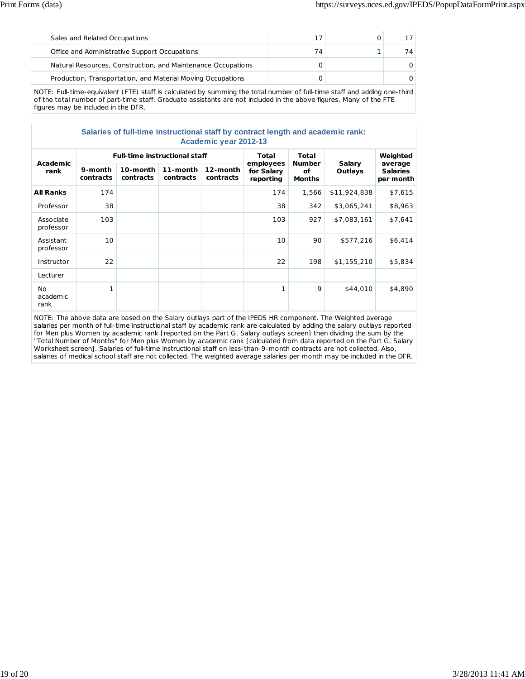| Sales and Related Occupations                                |    |    |
|--------------------------------------------------------------|----|----|
| Office and Administrative Support Occupations                | 74 | 74 |
| Natural Resources, Construction, and Maintenance Occupations |    |    |
| Production, Transportation, and Material Moving Occupations  |    |    |

NOTE: Full-time-equivalent (FTE) staff is calculated by summing the total number of full-time staff and adding one-third of the total number of part-time staff. Graduate assistants are not included in the above figures. Many of the FTE figures may be included in the DFR.

#### **Salaries of full-time instructional staff by contract length and academic rank: Academic year 2012-13**

|                        |                      | <b>Full-time instructional staff</b> |                       |                       | Total<br>employees<br>for Salary<br>reporting | Total<br><b>Number</b><br>Οf<br><b>Months</b> | Salary<br>Outlays | Weighted<br>average<br><b>Salaries</b><br>per month |  |  |
|------------------------|----------------------|--------------------------------------|-----------------------|-----------------------|-----------------------------------------------|-----------------------------------------------|-------------------|-----------------------------------------------------|--|--|
| Academic<br>rank       | 9-month<br>contracts | 10-month<br>contracts                | 11-month<br>contracts | 12-month<br>contracts |                                               |                                               |                   |                                                     |  |  |
| <b>All Ranks</b>       | 174                  |                                      |                       |                       | 174                                           | 1,566                                         | \$11,924,838      | \$7,615                                             |  |  |
| Professor              | 38                   |                                      |                       |                       | 38                                            | 342                                           | \$3,065,241       | \$8,963                                             |  |  |
| Associate<br>professor | 103                  |                                      |                       |                       | 103                                           | 927                                           | \$7,083,161       | \$7,641                                             |  |  |
| Assistant<br>professor | 10                   |                                      |                       |                       | 10                                            | 90                                            | \$577,216         | \$6,414                                             |  |  |
| Instructor             | 22                   |                                      |                       |                       | 22                                            | 198                                           | \$1,155,210       | \$5,834                                             |  |  |
| Lecturer               |                      |                                      |                       |                       |                                               |                                               |                   |                                                     |  |  |
| No<br>academic<br>rank | 1                    |                                      |                       |                       |                                               | 9                                             | \$44,010          | \$4,890                                             |  |  |

NOTE: The above data are based on the Salary outlays part of the IPEDS HR component. The Weighted average salaries per month of full-time instructional staff by academic rank are calculated by adding the salary outlays reported for Men plus Women by academic rank [reported on the Part G, Salary outlays screen] then dividing the sum by the "Total Number of Months" for Men plus Women by academic rank [calculated from data reported on the Part G, Salary Worksheet screen]. Salaries of full-time instructional staff on less-than-9-month contracts are not collected. Also, salaries of medical school staff are not collected. The weighted average salaries per month may be included in the DFR.